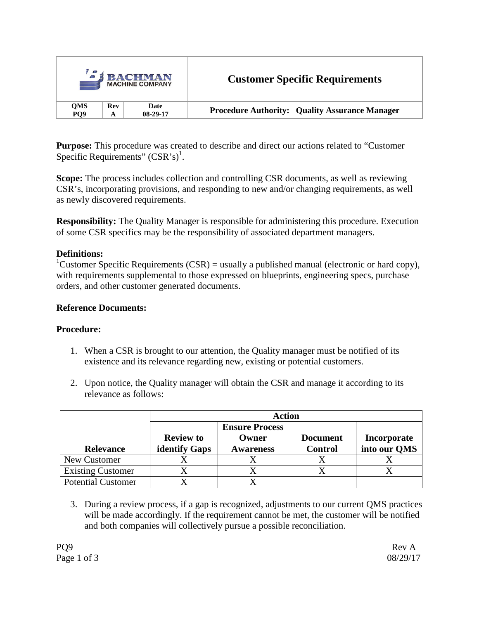|                 |     | <b>BACHMAN</b><br><b>MACHINE COMPANY</b> | <b>Customer Specific Requirements</b>                 |
|-----------------|-----|------------------------------------------|-------------------------------------------------------|
| <b>OMS</b>      | Rev | Date                                     | <b>Procedure Authority: Quality Assurance Manager</b> |
| PO <sub>9</sub> | А   | $08-29-17$                               |                                                       |

**Purpose:** This procedure was created to describe and direct our actions related to "Customer Specific Requirements"  $(CSR's)^1$ .

**Scope:** The process includes collection and controlling CSR documents, as well as reviewing CSR's, incorporating provisions, and responding to new and/or changing requirements, as well as newly discovered requirements.

**Responsibility:** The Quality Manager is responsible for administering this procedure. Execution of some CSR specifics may be the responsibility of associated department managers.

## **Definitions:**

<sup>1</sup>Customer Specific Requirements (CSR) = usually a published manual (electronic or hard copy), with requirements supplemental to those expressed on blueprints, engineering specs, purchase orders, and other customer generated documents.

## **Reference Documents:**

### **Procedure:**

- 1. When a CSR is brought to our attention, the Quality manager must be notified of its existence and its relevance regarding new, existing or potential customers.
- 2. Upon notice, the Quality manager will obtain the CSR and manage it according to its relevance as follows:

|                           |                      | <b>Action</b>         |                 |              |
|---------------------------|----------------------|-----------------------|-----------------|--------------|
|                           |                      | <b>Ensure Process</b> |                 |              |
|                           | <b>Review to</b>     | Owner                 | <b>Document</b> | Incorporate  |
| <b>Relevance</b>          | <b>identify Gaps</b> | <b>Awareness</b>      | <b>Control</b>  | into our QMS |
| New Customer              |                      |                       |                 |              |
| <b>Existing Customer</b>  |                      |                       |                 |              |
| <b>Potential Customer</b> |                      |                       |                 |              |

3. During a review process, if a gap is recognized, adjustments to our current QMS practices will be made accordingly. If the requirement cannot be met, the customer will be notified and both companies will collectively pursue a possible reconciliation.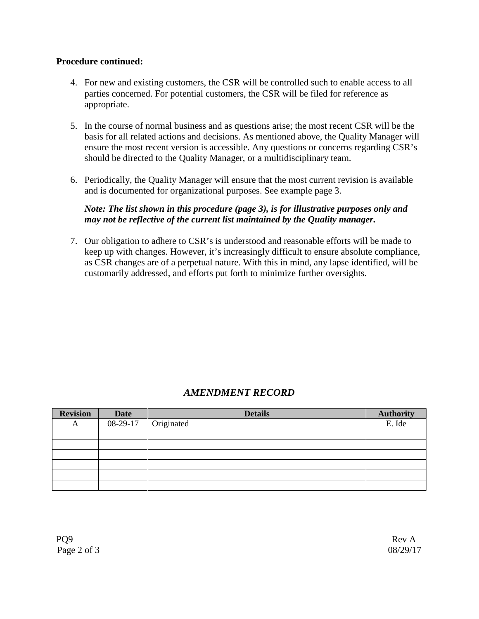#### **Procedure continued:**

- 4. For new and existing customers, the CSR will be controlled such to enable access to all parties concerned. For potential customers, the CSR will be filed for reference as appropriate.
- 5. In the course of normal business and as questions arise; the most recent CSR will be the basis for all related actions and decisions. As mentioned above, the Quality Manager will ensure the most recent version is accessible. Any questions or concerns regarding CSR's should be directed to the Quality Manager, or a multidisciplinary team.
- 6. Periodically, the Quality Manager will ensure that the most current revision is available and is documented for organizational purposes. See example page 3.

## *Note: The list shown in this procedure (page 3), is for illustrative purposes only and may not be reflective of the current list maintained by the Quality manager.*

7. Our obligation to adhere to CSR's is understood and reasonable efforts will be made to keep up with changes. However, it's increasingly difficult to ensure absolute compliance, as CSR changes are of a perpetual nature. With this in mind, any lapse identified, will be customarily addressed, and efforts put forth to minimize further oversights.

# *AMENDMENT RECORD*

| <b>Revision</b> | <b>Date</b> | <b>Details</b> | <b>Authority</b> |
|-----------------|-------------|----------------|------------------|
| A               | 08-29-17    | Originated     | E. Ide           |
|                 |             |                |                  |
|                 |             |                |                  |
|                 |             |                |                  |
|                 |             |                |                  |
|                 |             |                |                  |
|                 |             |                |                  |